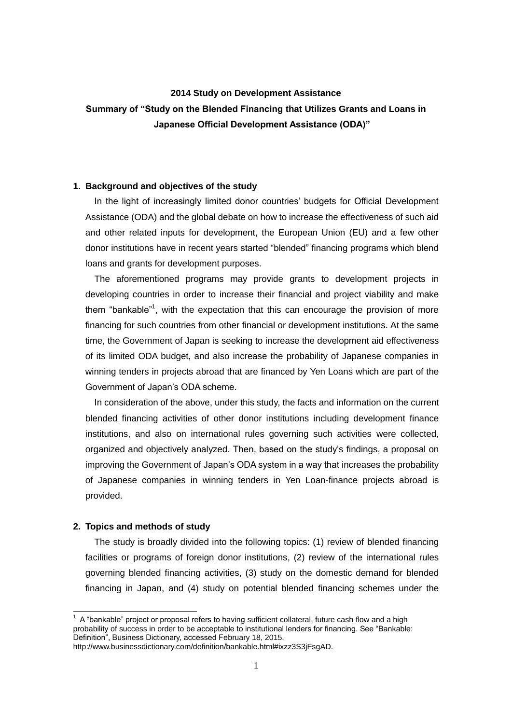## **2014 Study on Development Assistance**

# **Summary of "Study on the Blended Financing that Utilizes Grants and Loans in Japanese Official Development Assistance (ODA)"**

### **1. Background and objectives of the study**

In the light of increasingly limited donor countries' budgets for Official Development Assistance (ODA) and the global debate on how to increase the effectiveness of such aid and other related inputs for development, the European Union (EU) and a few other donor institutions have in recent years started "blended" financing programs which blend loans and grants for development purposes.

The aforementioned programs may provide grants to development projects in developing countries in order to increase their financial and project viability and make them "bankable"<sup>1</sup>, with the expectation that this can encourage the provision of more financing for such countries from other financial or development institutions. At the same time, the Government of Japan is seeking to increase the development aid effectiveness of its limited ODA budget, and also increase the probability of Japanese companies in winning tenders in projects abroad that are financed by Yen Loans which are part of the Government of Japan's ODA scheme.

In consideration of the above, under this study, the facts and information on the current blended financing activities of other donor institutions including development finance institutions, and also on international rules governing such activities were collected, organized and objectively analyzed. Then, based on the study's findings, a proposal on improving the Government of Japan's ODA system in a way that increases the probability of Japanese companies in winning tenders in Yen Loan-finance projects abroad is provided.

#### **2. Topics and methods of study**

-

The study is broadly divided into the following topics: (1) review of blended financing facilities or programs of foreign donor institutions, (2) review of the international rules governing blended financing activities, (3) study on the domestic demand for blended financing in Japan, and (4) study on potential blended financing schemes under the

 $1$  A "bankable" project or proposal refers to having sufficient collateral, future cash flow and a high probability of success in order to be acceptable to institutional lenders for financing. See "Bankable: Definition", Business Dictionary, accessed February 18, 2015,

http://www.businessdictionary.com/definition/bankable.html#ixzz3S3jFsgAD.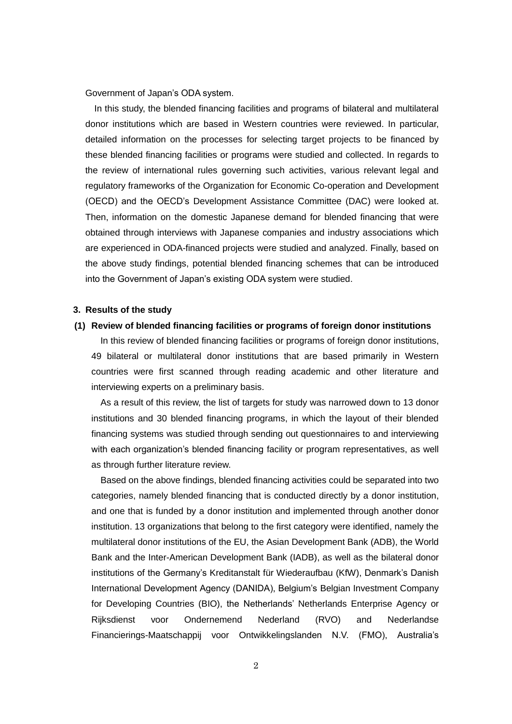Government of Japan's ODA system.

In this study, the blended financing facilities and programs of bilateral and multilateral donor institutions which are based in Western countries were reviewed. In particular, detailed information on the processes for selecting target projects to be financed by these blended financing facilities or programs were studied and collected. In regards to the review of international rules governing such activities, various relevant legal and regulatory frameworks of the Organization for Economic Co-operation and Development (OECD) and the OECD's Development Assistance Committee (DAC) were looked at. Then, information on the domestic Japanese demand for blended financing that were obtained through interviews with Japanese companies and industry associations which are experienced in ODA-financed projects were studied and analyzed. Finally, based on the above study findings, potential blended financing schemes that can be introduced into the Government of Japan's existing ODA system were studied.

#### **3. Results of the study**

## **(1) Review of blended financing facilities or programs of foreign donor institutions**

In this review of blended financing facilities or programs of foreign donor institutions, 49 bilateral or multilateral donor institutions that are based primarily in Western countries were first scanned through reading academic and other literature and interviewing experts on a preliminary basis.

As a result of this review, the list of targets for study was narrowed down to 13 donor institutions and 30 blended financing programs, in which the layout of their blended financing systems was studied through sending out questionnaires to and interviewing with each organization's blended financing facility or program representatives, as well as through further literature review.

Based on the above findings, blended financing activities could be separated into two categories, namely blended financing that is conducted directly by a donor institution, and one that is funded by a donor institution and implemented through another donor institution. 13 organizations that belong to the first category were identified, namely the multilateral donor institutions of the EU, the Asian Development Bank (ADB), the World Bank and the Inter-American Development Bank (IADB), as well as the bilateral donor institutions of the Germany's Kreditanstalt für Wiederaufbau (KfW), Denmark's Danish International Development Agency (DANIDA), Belgium's Belgian Investment Company for Developing Countries (BIO), the Netherlands' Netherlands Enterprise Agency or Rijksdienst voor Ondernemend Nederland (RVO) and Nederlandse Financierings-Maatschappij voor Ontwikkelingslanden N.V. (FMO), Australia's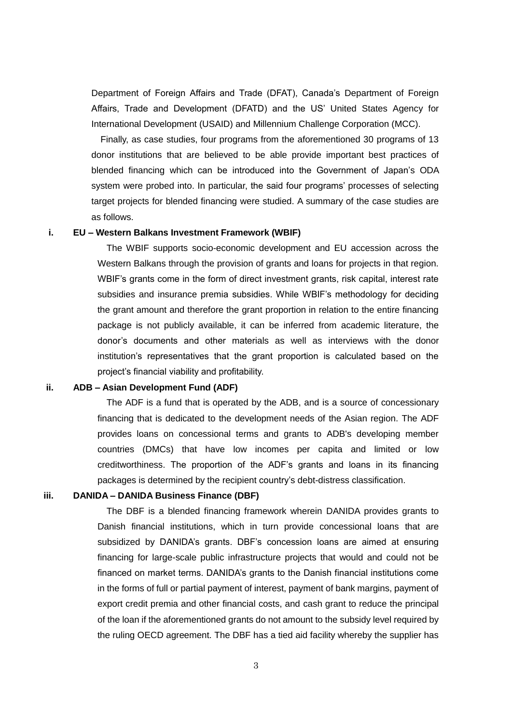Department of Foreign Affairs and Trade (DFAT), Canada's Department of Foreign Affairs, Trade and Development (DFATD) and the US' United States Agency for International Development (USAID) and Millennium Challenge Corporation (MCC).

Finally, as case studies, four programs from the aforementioned 30 programs of 13 donor institutions that are believed to be able provide important best practices of blended financing which can be introduced into the Government of Japan's ODA system were probed into. In particular, the said four programs' processes of selecting target projects for blended financing were studied. A summary of the case studies are as follows.

## **i. EU – Western Balkans Investment Framework (WBIF)**

The WBIF supports socio-economic development and EU accession across the Western Balkans through the provision of grants and loans for projects in that region. WBIF's grants come in the form of direct investment grants, risk capital, interest rate subsidies and insurance premia subsidies. While WBIF's methodology for deciding the grant amount and therefore the grant proportion in relation to the entire financing package is not publicly available, it can be inferred from academic literature, the donor's documents and other materials as well as interviews with the donor institution's representatives that the grant proportion is calculated based on the project's financial viability and profitability.

#### **ii. ADB – Asian Development Fund (ADF)**

The ADF is a fund that is operated by the ADB, and is a source of concessionary financing that is dedicated to the development needs of the Asian region. The ADF provides loans on concessional terms and grants to ADB's developing member countries (DMCs) that have low incomes per capita and limited or low creditworthiness. The proportion of the ADF's grants and loans in its financing packages is determined by the recipient country's debt-distress classification.

## **iii. DANIDA – DANIDA Business Finance (DBF)**

The DBF is a blended financing framework wherein DANIDA provides grants to Danish financial institutions, which in turn provide concessional loans that are subsidized by DANIDA's grants. DBF's concession loans are aimed at ensuring financing for large-scale public infrastructure projects that would and could not be financed on market terms. DANIDA's grants to the Danish financial institutions come in the forms of full or partial payment of interest, payment of bank margins, payment of export credit premia and other financial costs, and cash grant to reduce the principal of the loan if the aforementioned grants do not amount to the subsidy level required by the ruling OECD agreement. The DBF has a tied aid facility whereby the supplier has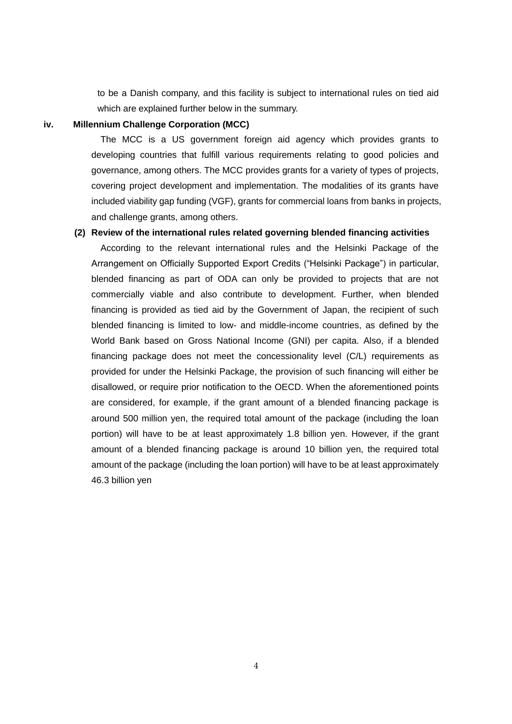to be a Danish company, and this facility is subject to international rules on tied aid which are explained further below in the summary.

## **iv. Millennium Challenge Corporation (MCC)**

The MCC is a US government foreign aid agency which provides grants to developing countries that fulfill various requirements relating to good policies and governance, among others. The MCC provides grants for a variety of types of projects, covering project development and implementation. The modalities of its grants have included viability gap funding (VGF), grants for commercial loans from banks in projects, and challenge grants, among others.

## **(2) Review of the international rules related governing blended financing activities**

According to the relevant international rules and the Helsinki Package of the Arrangement on Officially Supported Export Credits ("Helsinki Package") in particular, blended financing as part of ODA can only be provided to projects that are not commercially viable and also contribute to development. Further, when blended financing is provided as tied aid by the Government of Japan, the recipient of such blended financing is limited to low- and middle-income countries, as defined by the World Bank based on Gross National Income (GNI) per capita. Also, if a blended financing package does not meet the concessionality level (C/L) requirements as provided for under the Helsinki Package, the provision of such financing will either be disallowed, or require prior notification to the OECD. When the aforementioned points are considered, for example, if the grant amount of a blended financing package is around 500 million yen, the required total amount of the package (including the loan portion) will have to be at least approximately 1.8 billion yen. However, if the grant amount of a blended financing package is around 10 billion yen, the required total amount of the package (including the loan portion) will have to be at least approximately 46.3 billion yen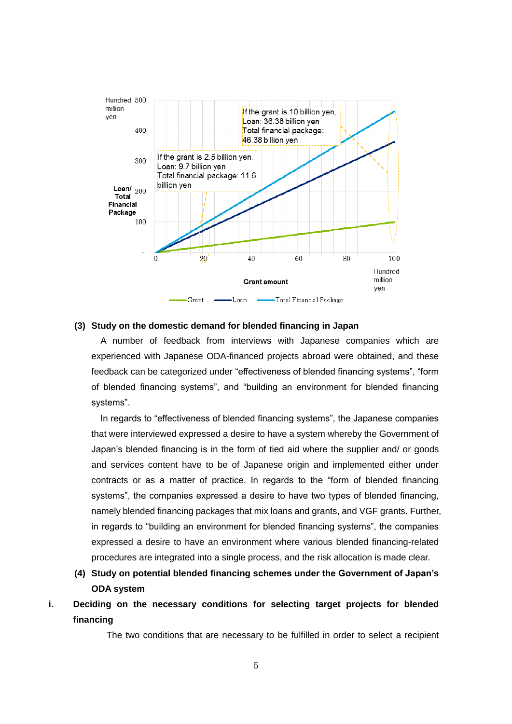

#### **(3) Study on the domestic demand for blended financing in Japan**

A number of feedback from interviews with Japanese companies which are experienced with Japanese ODA-financed projects abroad were obtained, and these feedback can be categorized under "effectiveness of blended financing systems", "form of blended financing systems", and "building an environment for blended financing systems".

In regards to "effectiveness of blended financing systems", the Japanese companies that were interviewed expressed a desire to have a system whereby the Government of Japan's blended financing is in the form of tied aid where the supplier and/ or goods and services content have to be of Japanese origin and implemented either under contracts or as a matter of practice. In regards to the "form of blended financing systems", the companies expressed a desire to have two types of blended financing, namely blended financing packages that mix loans and grants, and VGF grants. Further, in regards to "building an environment for blended financing systems", the companies expressed a desire to have an environment where various blended financing-related procedures are integrated into a single process, and the risk allocation is made clear.

- **(4) Study on potential blended financing schemes under the Government of Japan's ODA system**
- **i. Deciding on the necessary conditions for selecting target projects for blended financing**

The two conditions that are necessary to be fulfilled in order to select a recipient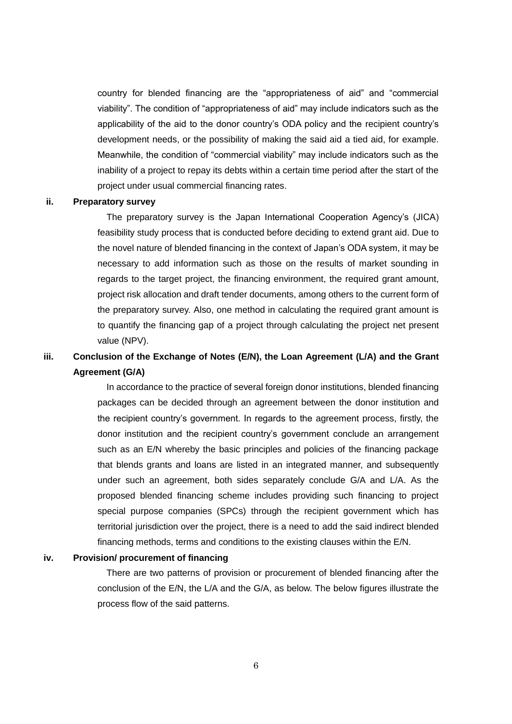country for blended financing are the "appropriateness of aid" and "commercial viability". The condition of "appropriateness of aid" may include indicators such as the applicability of the aid to the donor country's ODA policy and the recipient country's development needs, or the possibility of making the said aid a tied aid, for example. Meanwhile, the condition of "commercial viability" may include indicators such as the inability of a project to repay its debts within a certain time period after the start of the project under usual commercial financing rates.

### **ii. Preparatory survey**

The preparatory survey is the Japan International Cooperation Agency's (JICA) feasibility study process that is conducted before deciding to extend grant aid. Due to the novel nature of blended financing in the context of Japan's ODA system, it may be necessary to add information such as those on the results of market sounding in regards to the target project, the financing environment, the required grant amount, project risk allocation and draft tender documents, among others to the current form of the preparatory survey. Also, one method in calculating the required grant amount is to quantify the financing gap of a project through calculating the project net present value (NPV).

# **iii. Conclusion of the Exchange of Notes (E/N), the Loan Agreement (L/A) and the Grant Agreement (G/A)**

In accordance to the practice of several foreign donor institutions, blended financing packages can be decided through an agreement between the donor institution and the recipient country's government. In regards to the agreement process, firstly, the donor institution and the recipient country's government conclude an arrangement such as an E/N whereby the basic principles and policies of the financing package that blends grants and loans are listed in an integrated manner, and subsequently under such an agreement, both sides separately conclude G/A and L/A. As the proposed blended financing scheme includes providing such financing to project special purpose companies (SPCs) through the recipient government which has territorial jurisdiction over the project, there is a need to add the said indirect blended financing methods, terms and conditions to the existing clauses within the E/N.

#### **iv. Provision/ procurement of financing**

There are two patterns of provision or procurement of blended financing after the conclusion of the E/N, the L/A and the G/A, as below. The below figures illustrate the process flow of the said patterns.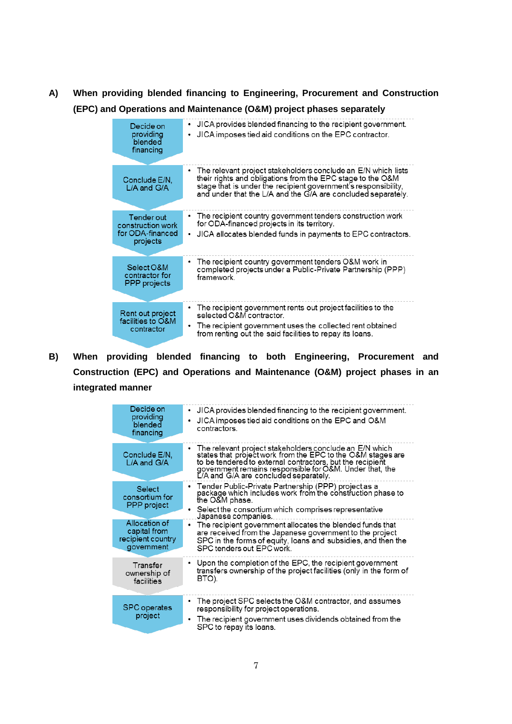**A) When providing blended financing to Engineering, Procurement and Construction (EPC) and Operations and Maintenance (O&M) project phases separately**

| Decide on                                           | JICA provides blended financing to the recipient government.                                                                                                                                                                                                    |
|-----------------------------------------------------|-----------------------------------------------------------------------------------------------------------------------------------------------------------------------------------------------------------------------------------------------------------------|
| providing                                           | ٠                                                                                                                                                                                                                                                               |
| blended                                             | JICA imposes tied aid conditions on the EPC contractor.                                                                                                                                                                                                         |
| financing                                           | ٠                                                                                                                                                                                                                                                               |
| Conclude E/N.<br>L/A and G/A                        | • The relevant project stakeholders conclude an E/N which lists<br>their rights and obligations from the EPC stage to the O&M<br>stage that is under the recipient government's responsibility,<br>and under that the L/A and the G/A are concluded separately. |
| Tender out                                          | • The recipient country government tenders construction work                                                                                                                                                                                                    |
| construction work                                   | for ODA-financed projects in its territory.                                                                                                                                                                                                                     |
| for ODA-financed                                    | JICA allocates blended funds in payments to EPC contractors.                                                                                                                                                                                                    |
| projects                                            | ٠                                                                                                                                                                                                                                                               |
| Select O&M                                          | • The recipient country government tenders O&M work in                                                                                                                                                                                                          |
| contractor for                                      | completed projects under a Public-Private Partnership (PPP)                                                                                                                                                                                                     |
| <b>PPP</b> projects                                 | framework                                                                                                                                                                                                                                                       |
| Rent out project<br>facilities to O&M<br>contractor | • The recipient government rents out project facilities to the<br>selected O&M contractor.<br>The recipient government uses the collected rent obtained<br>٠<br>from renting out the said facilities to repay its loans.                                        |

**B) When providing blended financing to both Engineering, Procurement and Construction (EPC) and Operations and Maintenance (O&M) project phases in an integrated manner** 

| Decide on<br>providing<br>blended<br>financing                   | JICA provides blended financing to the recipient government.<br>٠<br>JICA imposes tied aid conditions on the EPC and O&M<br>٠<br>contractors.                                                                                                                                          |
|------------------------------------------------------------------|----------------------------------------------------------------------------------------------------------------------------------------------------------------------------------------------------------------------------------------------------------------------------------------|
| Conclude E/N.<br>$L/A$ and $G/A$                                 | • The relevant project stakeholders conclude an E/N which<br>states that project work from the EPC to the O&M stages are<br>to be tendered to external contractors, but the recipient<br>government remains responsible for O&M. Under that, the L/A and G/A are concluded separately. |
| <b>Select</b><br>consortium for<br><b>PPP</b> project            | • Tender Public-Private Partnership (PPP) project as a<br>package which includes work from the construction phase to<br>the O&M phase.<br>Select the consortium which comprises representative<br>٠<br>Japanese companies.                                                             |
| Allocation of<br>capital from<br>recipient country<br>government | • The recipient government allocates the blended funds that<br>are received from the Japanese government to the project<br>SPC in the forms of equity, loans and subsidies, and then the<br>SPC tenders out EPC work.                                                                  |
| Transfer<br>ownership of<br>facilities                           | • Upon the completion of the EPC, the recipient government<br>transfers ownership of the project facilities (only in the form of<br>BTO).                                                                                                                                              |
| <b>SPC</b> operates<br>project                                   | • The project SPC selects the O&M contractor, and assumes<br>responsibility for project operations.<br>The recipient government uses dividends obtained from the<br>٠<br>SPC to repay its loans.                                                                                       |